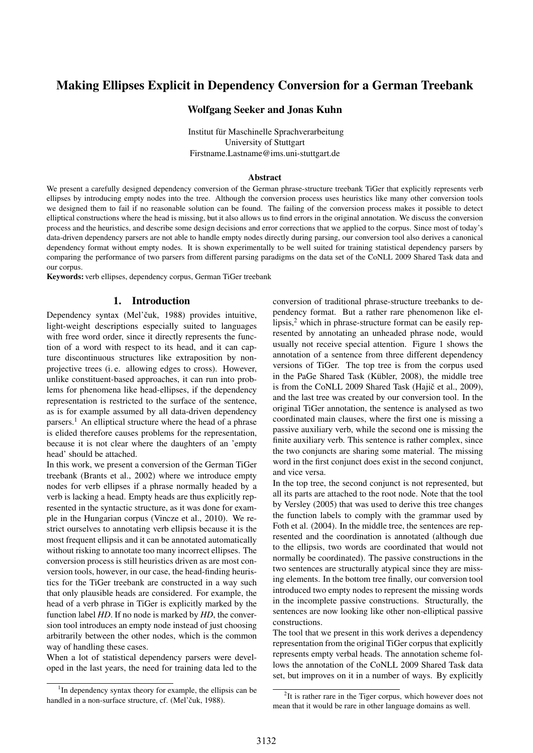# Making Ellipses Explicit in Dependency Conversion for a German Treebank

### Wolfgang Seeker and Jonas Kuhn

Institut für Maschinelle Sprachverarbeitung University of Stuttgart Firstname.Lastname@ims.uni-stuttgart.de

#### Abstract

We present a carefully designed dependency conversion of the German phrase-structure treebank TiGer that explicitly represents verb ellipses by introducing empty nodes into the tree. Although the conversion process uses heuristics like many other conversion tools we designed them to fail if no reasonable solution can be found. The failing of the conversion process makes it possible to detect elliptical constructions where the head is missing, but it also allows us to find errors in the original annotation. We discuss the conversion process and the heuristics, and describe some design decisions and error corrections that we applied to the corpus. Since most of today's data-driven dependency parsers are not able to handle empty nodes directly during parsing, our conversion tool also derives a canonical dependency format without empty nodes. It is shown experimentally to be well suited for training statistical dependency parsers by comparing the performance of two parsers from different parsing paradigms on the data set of the CoNLL 2009 Shared Task data and our corpus.

Keywords: verb ellipses, dependency corpus, German TiGer treebank

### 1. Introduction

Dependency syntax (Mel'čuk, 1988) provides intuitive, light-weight descriptions especially suited to languages with free word order, since it directly represents the function of a word with respect to its head, and it can capture discontinuous structures like extraposition by nonprojective trees (i. e. allowing edges to cross). However, unlike constituent-based approaches, it can run into problems for phenomena like head-ellipses, if the dependency representation is restricted to the surface of the sentence, as is for example assumed by all data-driven dependency parsers.<sup>1</sup> An elliptical structure where the head of a phrase is elided therefore causes problems for the representation, because it is not clear where the daughters of an 'empty head' should be attached.

In this work, we present a conversion of the German TiGer treebank (Brants et al., 2002) where we introduce empty nodes for verb ellipses if a phrase normally headed by a verb is lacking a head. Empty heads are thus explicitly represented in the syntactic structure, as it was done for example in the Hungarian corpus (Vincze et al., 2010). We restrict ourselves to annotating verb ellipsis because it is the most frequent ellipsis and it can be annotated automatically without risking to annotate too many incorrect ellipses. The conversion process is still heuristics driven as are most conversion tools, however, in our case, the head-finding heuristics for the TiGer treebank are constructed in a way such that only plausible heads are considered. For example, the head of a verb phrase in TiGer is explicitly marked by the function label *HD*. If no node is marked by *HD*, the conversion tool introduces an empty node instead of just choosing arbitrarily between the other nodes, which is the common way of handling these cases.

When a lot of statistical dependency parsers were developed in the last years, the need for training data led to the conversion of traditional phrase-structure treebanks to dependency format. But a rather rare phenomenon like ellipsis,<sup>2</sup> which in phrase-structure format can be easily represented by annotating an unheaded phrase node, would usually not receive special attention. Figure 1 shows the annotation of a sentence from three different dependency versions of TiGer. The top tree is from the corpus used in the PaGe Shared Task (Kübler, 2008), the middle tree is from the CoNLL 2009 Shared Task (Hajič et al., 2009), and the last tree was created by our conversion tool. In the original TiGer annotation, the sentence is analysed as two coordinated main clauses, where the first one is missing a passive auxiliary verb, while the second one is missing the finite auxiliary verb. This sentence is rather complex, since the two conjuncts are sharing some material. The missing word in the first conjunct does exist in the second conjunct, and vice versa.

In the top tree, the second conjunct is not represented, but all its parts are attached to the root node. Note that the tool by Versley (2005) that was used to derive this tree changes the function labels to comply with the grammar used by Foth et al. (2004). In the middle tree, the sentences are represented and the coordination is annotated (although due to the ellipsis, two words are coordinated that would not normally be coordinated). The passive constructions in the two sentences are structurally atypical since they are missing elements. In the bottom tree finally, our conversion tool introduced two empty nodes to represent the missing words in the incomplete passive constructions. Structurally, the sentences are now looking like other non-elliptical passive constructions.

The tool that we present in this work derives a dependency representation from the original TiGer corpus that explicitly represents empty verbal heads. The annotation scheme follows the annotation of the CoNLL 2009 Shared Task data set, but improves on it in a number of ways. By explicitly

<sup>&</sup>lt;sup>1</sup>In dependency syntax theory for example, the ellipsis can be handled in a non-surface structure, cf. (Mel'čuk, 1988).

 $2$ It is rather rare in the Tiger corpus, which however does not mean that it would be rare in other language domains as well.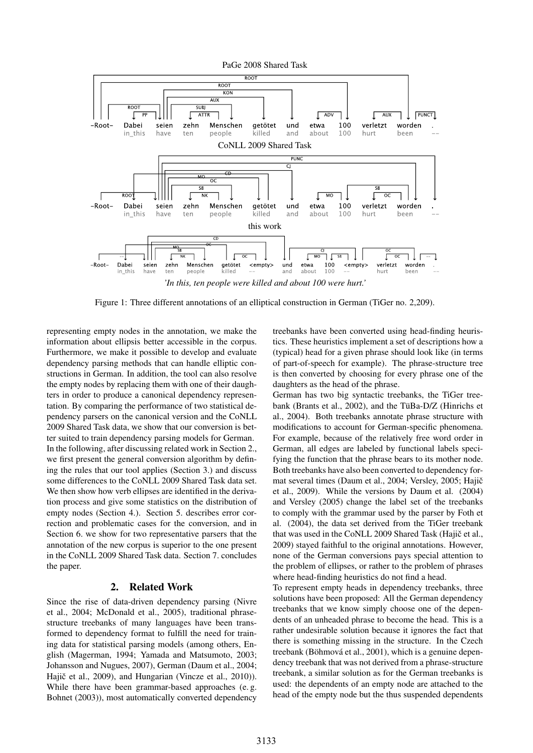

Figure 1: Three different annotations of an elliptical construction in German (TiGer no. 2,209).

representing empty nodes in the annotation, we make the information about ellipsis better accessible in the corpus. Furthermore, we make it possible to develop and evaluate dependency parsing methods that can handle elliptic constructions in German. In addition, the tool can also resolve the empty nodes by replacing them with one of their daughters in order to produce a canonical dependency representation. By comparing the performance of two statistical dependency parsers on the canonical version and the CoNLL 2009 Shared Task data, we show that our conversion is better suited to train dependency parsing models for German. In the following, after discussing related work in Section 2., we first present the general conversion algorithm by defining the rules that our tool applies (Section 3.) and discuss some differences to the CoNLL 2009 Shared Task data set. We then show how verb ellipses are identified in the derivation process and give some statistics on the distribution of empty nodes (Section 4.). Section 5. describes error correction and problematic cases for the conversion, and in Section 6. we show for two representative parsers that the annotation of the new corpus is superior to the one present in the CoNLL 2009 Shared Task data. Section 7. concludes the paper.

### 2. Related Work

Since the rise of data-driven dependency parsing (Nivre et al., 2004; McDonald et al., 2005), traditional phrasestructure treebanks of many languages have been transformed to dependency format to fulfill the need for training data for statistical parsing models (among others, English (Magerman, 1994; Yamada and Matsumoto, 2003; Johansson and Nugues, 2007), German (Daum et al., 2004; Hajič et al., 2009), and Hungarian (Vincze et al., 2010)). While there have been grammar-based approaches (e. g. Bohnet (2003)), most automatically converted dependency

treebanks have been converted using head-finding heuristics. These heuristics implement a set of descriptions how a (typical) head for a given phrase should look like (in terms of part-of-speech for example). The phrase-structure tree is then converted by choosing for every phrase one of the daughters as the head of the phrase.

German has two big syntactic treebanks, the TiGer treebank (Brants et al., 2002), and the TüBa-D/Z (Hinrichs et al., 2004). Both treebanks annotate phrase structure with modifications to account for German-specific phenomena. For example, because of the relatively free word order in German, all edges are labeled by functional labels specifying the function that the phrase bears to its mother node. Both treebanks have also been converted to dependency format several times (Daum et al., 2004; Versley, 2005; Hajič et al., 2009). While the versions by Daum et al. (2004) and Versley (2005) change the label set of the treebanks to comply with the grammar used by the parser by Foth et al. (2004), the data set derived from the TiGer treebank that was used in the CoNLL 2009 Shared Task (Hajič et al., 2009) stayed faithful to the original annotations. However, none of the German conversions pays special attention to the problem of ellipses, or rather to the problem of phrases where head-finding heuristics do not find a head.

To represent empty heads in dependency treebanks, three solutions have been proposed: All the German dependency treebanks that we know simply choose one of the dependents of an unheaded phrase to become the head. This is a rather undesirable solution because it ignores the fact that there is something missing in the structure. In the Czech treebank (Böhmová et al., 2001), which is a genuine dependency treebank that was not derived from a phrase-structure treebank, a similar solution as for the German treebanks is used: the dependents of an empty node are attached to the head of the empty node but the thus suspended dependents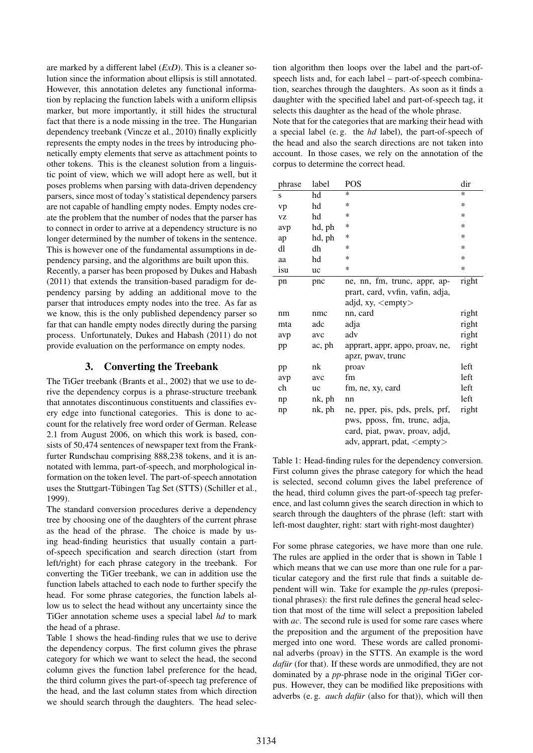are marked by a different label (*ExD*). This is a cleaner solution since the information about ellipsis is still annotated. However, this annotation deletes any functional information by replacing the function labels with a uniform ellipsis marker, but more importantly, it still hides the structural fact that there is a node missing in the tree. The Hungarian dependency treebank (Vincze et al., 2010) finally explicitly represents the empty nodes in the trees by introducing phonetically empty elements that serve as attachment points to other tokens. This is the cleanest solution from a linguistic point of view, which we will adopt here as well, but it poses problems when parsing with data-driven dependency parsers, since most of today's statistical dependency parsers are not capable of handling empty nodes. Empty nodes create the problem that the number of nodes that the parser has to connect in order to arrive at a dependency structure is no longer determined by the number of tokens in the sentence. This is however one of the fundamental assumptions in dependency parsing, and the algorithms are built upon this.

Recently, a parser has been proposed by Dukes and Habash (2011) that extends the transition-based paradigm for dependency parsing by adding an additional move to the parser that introduces empty nodes into the tree. As far as we know, this is the only published dependency parser so far that can handle empty nodes directly during the parsing process. Unfortunately, Dukes and Habash (2011) do not provide evaluation on the performance on empty nodes.

# 3. Converting the Treebank

The TiGer treebank (Brants et al., 2002) that we use to derive the dependency corpus is a phrase-structure treebank that annotates discontinuous constituents and classifies every edge into functional categories. This is done to account for the relatively free word order of German. Release 2.1 from August 2006, on which this work is based, consists of 50,474 sentences of newspaper text from the Frankfurter Rundschau comprising 888,238 tokens, and it is annotated with lemma, part-of-speech, and morphological information on the token level. The part-of-speech annotation uses the Stuttgart-Tübingen Tag Set (STTS) (Schiller et al., 1999).

The standard conversion procedures derive a dependency tree by choosing one of the daughters of the current phrase as the head of the phrase. The choice is made by using head-finding heuristics that usually contain a partof-speech specification and search direction (start from left/right) for each phrase category in the treebank. For converting the TiGer treebank, we can in addition use the function labels attached to each node to further specify the head. For some phrase categories, the function labels allow us to select the head without any uncertainty since the TiGer annotation scheme uses a special label *hd* to mark the head of a phrase.

Table 1 shows the head-finding rules that we use to derive the dependency corpus. The first column gives the phrase category for which we want to select the head, the second column gives the function label preference for the head, the third column gives the part-of-speech tag preference of the head, and the last column states from which direction we should search through the daughters. The head selection algorithm then loops over the label and the part-ofspeech lists and, for each label – part-of-speech combination, searches through the daughters. As soon as it finds a daughter with the specified label and part-of-speech tag, it selects this daughter as the head of the whole phrase.

Note that for the categories that are marking their head with a special label (e. g. the *hd* label), the part-of-speech of the head and also the search directions are not taken into account. In those cases, we rely on the annotation of the corpus to determine the correct head.

| phrase | label  | <b>POS</b>                                                                                                                               | dir    |
|--------|--------|------------------------------------------------------------------------------------------------------------------------------------------|--------|
| S      | hd     | $\ast$                                                                                                                                   | $\ast$ |
| vp     | hd     | ∗                                                                                                                                        | $\ast$ |
| VZ     | hd     | ∗                                                                                                                                        | *      |
| avp    | hd, ph | ∗                                                                                                                                        | *      |
| ap     | hd, ph | ∗                                                                                                                                        | *      |
| dl     | dh     | ∗                                                                                                                                        | *      |
| aa     | hd     | ∗                                                                                                                                        | *      |
| isu    | uc     | ∗                                                                                                                                        | $\ast$ |
| pn     | pnc    | ne, nn, fm, trunc, appr, ap-                                                                                                             | right  |
|        |        | prart, card, vvfin, vafin, adja,                                                                                                         |        |
|        |        | adjd, xy, <empty></empty>                                                                                                                |        |
| nm     | nmc    | nn, card                                                                                                                                 | right  |
| mta    | adc    | adja                                                                                                                                     | right  |
| avp    | avc    | adv                                                                                                                                      | right  |
| pp     | ac, ph | apprart, appr, appo, proav, ne,                                                                                                          | right  |
|        |        | apzr, pway, trunc                                                                                                                        |        |
| pp     | nk     | proav                                                                                                                                    | left   |
| avp    | avc    | fm                                                                                                                                       | left   |
| ch     | uc     | fm, ne, xy, card                                                                                                                         | left   |
| np     | nk, ph | nn                                                                                                                                       | left   |
| np     | nk, ph | ne, pper, pis, pds, prels, prf,<br>pws, pposs, fm, trunc, adja,<br>card, piat, pway, proay, adjd,<br>adv, apprart, pdat, <empty></empty> | right  |

Table 1: Head-finding rules for the dependency conversion. First column gives the phrase category for which the head is selected, second column gives the label preference of the head, third column gives the part-of-speech tag preference, and last column gives the search direction in which to search through the daughters of the phrase (left: start with left-most daughter, right: start with right-most daughter)

For some phrase categories, we have more than one rule. The rules are applied in the order that is shown in Table 1 which means that we can use more than one rule for a particular category and the first rule that finds a suitable dependent will win. Take for example the *pp*-rules (prepositional phrases): the first rule defines the general head selection that most of the time will select a preposition labeled with *ac*. The second rule is used for some rare cases where the preposition and the argument of the preposition have merged into one word. These words are called pronominal adverbs (proav) in the STTS. An example is the word *dafür* (for that). If these words are unmodified, they are not dominated by a *pp*-phrase node in the original TiGer corpus. However, they can be modified like prepositions with adverbs (e.g. *auch dafür* (also for that)), which will then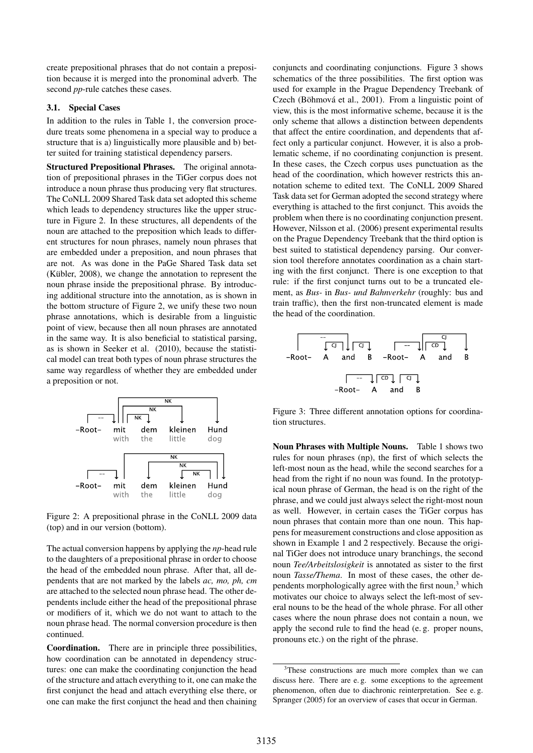create prepositional phrases that do not contain a preposition because it is merged into the pronominal adverb. The second *pp*-rule catches these cases.

### 3.1. Special Cases

In addition to the rules in Table 1, the conversion procedure treats some phenomena in a special way to produce a structure that is a) linguistically more plausible and b) better suited for training statistical dependency parsers.

Structured Prepositional Phrases. The original annotation of prepositional phrases in the TiGer corpus does not introduce a noun phrase thus producing very flat structures. The CoNLL 2009 Shared Task data set adopted this scheme which leads to dependency structures like the upper structure in Figure 2. In these structures, all dependents of the noun are attached to the preposition which leads to different structures for noun phrases, namely noun phrases that are embedded under a preposition, and noun phrases that are not. As was done in the PaGe Shared Task data set  $(Kübler, 2008)$ , we change the annotation to represent the noun phrase inside the prepositional phrase. By introducing additional structure into the annotation, as is shown in the bottom structure of Figure 2, we unify these two noun phrase annotations, which is desirable from a linguistic point of view, because then all noun phrases are annotated in the same way. It is also beneficial to statistical parsing, as is shown in Seeker et al. (2010), because the statistical model can treat both types of noun phrase structures the same way regardless of whether they are embedded under a preposition or not.



Figure 2: A prepositional phrase in the CoNLL 2009 data (top) and in our version (bottom).

The actual conversion happens by applying the *np*-head rule to the daughters of a prepositional phrase in order to choose the head of the embedded noun phrase. After that, all dependents that are not marked by the labels *ac, mo, ph, cm* are attached to the selected noun phrase head. The other dependents include either the head of the prepositional phrase or modifiers of it, which we do not want to attach to the noun phrase head. The normal conversion procedure is then continued.

Coordination. There are in principle three possibilities, how coordination can be annotated in dependency structures: one can make the coordinating conjunction the head of the structure and attach everything to it, one can make the first conjunct the head and attach everything else there, or one can make the first conjunct the head and then chaining conjuncts and coordinating conjunctions. Figure 3 shows schematics of the three possibilities. The first option was used for example in the Prague Dependency Treebank of Czech (Böhmová et al., 2001). From a linguistic point of view, this is the most informative scheme, because it is the only scheme that allows a distinction between dependents that affect the entire coordination, and dependents that affect only a particular conjunct. However, it is also a problematic scheme, if no coordinating conjunction is present. In these cases, the Czech corpus uses punctuation as the head of the coordination, which however restricts this annotation scheme to edited text. The CoNLL 2009 Shared Task data set for German adopted the second strategy where everything is attached to the first conjunct. This avoids the problem when there is no coordinating conjunction present. However, Nilsson et al. (2006) present experimental results on the Prague Dependency Treebank that the third option is best suited to statistical dependency parsing. Our conversion tool therefore annotates coordination as a chain starting with the first conjunct. There is one exception to that rule: if the first conjunct turns out to be a truncated element, as *Bus-* in *Bus- und Bahnverkehr* (roughly: bus and train traffic), then the first non-truncated element is made the head of the coordination.

Figure 3: Three different annotation options for coordination structures.

Noun Phrases with Multiple Nouns. Table 1 shows two rules for noun phrases (np), the first of which selects the left-most noun as the head, while the second searches for a head from the right if no noun was found. In the prototypical noun phrase of German, the head is on the right of the phrase, and we could just always select the right-most noun as well. However, in certain cases the TiGer corpus has noun phrases that contain more than one noun. This happens for measurement constructions and close apposition as shown in Example 1 and 2 respectively. Because the original TiGer does not introduce unary branchings, the second noun *Tee/Arbeitslosigkeit* is annotated as sister to the first noun *Tasse/Thema*. In most of these cases, the other dependents morphologically agree with the first noun, $3$  which motivates our choice to always select the left-most of several nouns to be the head of the whole phrase. For all other cases where the noun phrase does not contain a noun, we apply the second rule to find the head (e. g. proper nouns, pronouns etc.) on the right of the phrase.

<sup>&</sup>lt;sup>3</sup>These constructions are much more complex than we can discuss here. There are e. g. some exceptions to the agreement phenomenon, often due to diachronic reinterpretation. See e. g. Spranger (2005) for an overview of cases that occur in German.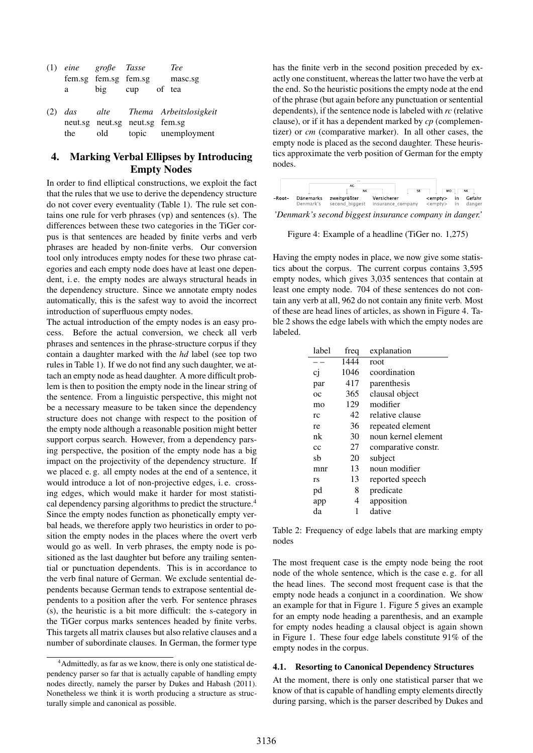| (1) eine große Tasse |         |                                | <b>Tee</b>                          |
|----------------------|---------|--------------------------------|-------------------------------------|
|                      |         | fem.sg fem.sg fem.sg           | masc.sg                             |
| a                    | big cup |                                | of tea                              |
|                      |         |                                | (2) das alte Thema Arbeitslosigkeit |
|                      |         | neut.sg neut.sg neut.sg fem.sg |                                     |
| the                  | old     |                                | topic unemployment                  |

# 4. Marking Verbal Ellipses by Introducing Empty Nodes

In order to find elliptical constructions, we exploit the fact that the rules that we use to derive the dependency structure do not cover every eventuality (Table 1). The rule set contains one rule for verb phrases (vp) and sentences (s). The differences between these two categories in the TiGer corpus is that sentences are headed by finite verbs and verb phrases are headed by non-finite verbs. Our conversion tool only introduces empty nodes for these two phrase categories and each empty node does have at least one dependent, i. e. the empty nodes are always structural heads in the dependency structure. Since we annotate empty nodes automatically, this is the safest way to avoid the incorrect introduction of superfluous empty nodes.

The actual introduction of the empty nodes is an easy process. Before the actual conversion, we check all verb phrases and sentences in the phrase-structure corpus if they contain a daughter marked with the *hd* label (see top two rules in Table 1). If we do not find any such daughter, we attach an empty node as head daughter. A more difficult problem is then to position the empty node in the linear string of the sentence. From a linguistic perspective, this might not be a necessary measure to be taken since the dependency structure does not change with respect to the position of the empty node although a reasonable position might better support corpus search. However, from a dependency parsing perspective, the position of the empty node has a big impact on the projectivity of the dependency structure. If we placed e. g. all empty nodes at the end of a sentence, it would introduce a lot of non-projective edges, i. e. crossing edges, which would make it harder for most statistical dependency parsing algorithms to predict the structure.<sup>4</sup> Since the empty nodes function as phonetically empty verbal heads, we therefore apply two heuristics in order to position the empty nodes in the places where the overt verb would go as well. In verb phrases, the empty node is positioned as the last daughter but before any trailing sentential or punctuation dependents. This is in accordance to the verb final nature of German. We exclude sentential dependents because German tends to extrapose sentential dependents to a position after the verb. For sentence phrases (s), the heuristic is a bit more difficult: the s-category in the TiGer corpus marks sentences headed by finite verbs. This targets all matrix clauses but also relative clauses and a number of subordinate clauses. In German, the former type

has the finite verb in the second position preceded by exactly one constituent, whereas the latter two have the verb at the end. So the heuristic positions the empty node at the end of the phrase (but again before any punctuation or sentential dependents), if the sentence node is labeled with *rc* (relative clause), or if it has a dependent marked by *cp* (complementizer) or *cm* (comparative marker). In all other cases, the empty node is placed as the second daughter. These heuristics approximate the verb position of German for the empty nodes.



*'Denmark's second biggest insurance company in danger.'*

Figure 4: Example of a headline (TiGer no. 1,275)

Having the empty nodes in place, we now give some statistics about the corpus. The current corpus contains 3,595 empty nodes, which gives 3,035 sentences that contain at least one empty node. 704 of these sentences do not contain any verb at all, 962 do not contain any finite verb. Most of these are head lines of articles, as shown in Figure 4. Table 2 shows the edge labels with which the empty nodes are labeled.

| label       | freq | explanation         |
|-------------|------|---------------------|
|             | 1444 | root                |
| cj          | 1046 | coordination        |
| par         | 417  | parenthesis         |
| $_{\alpha}$ | 365  | clausal object      |
| mo          | 129  | modifier            |
| rc          | 42   | relative clause     |
| re          | 36   | repeated element    |
| nk          | 30   | noun kernel element |
| cc          | 27   | comparative constr. |
| sb          | 20   | subject             |
| mnr         | 13   | noun modifier       |
| rs          | 13   | reported speech     |
| pd          | 8    | predicate           |
| app         | 4    | apposition          |
| da          | 1    | dative              |

Table 2: Frequency of edge labels that are marking empty nodes

The most frequent case is the empty node being the root node of the whole sentence, which is the case e. g. for all the head lines. The second most frequent case is that the empty node heads a conjunct in a coordination. We show an example for that in Figure 1. Figure 5 gives an example for an empty node heading a parenthesis, and an example for empty nodes heading a clausal object is again shown in Figure 1. These four edge labels constitute 91% of the empty nodes in the corpus.

#### 4.1. Resorting to Canonical Dependency Structures

At the moment, there is only one statistical parser that we know of that is capable of handling empty elements directly during parsing, which is the parser described by Dukes and

<sup>4</sup>Admittedly, as far as we know, there is only one statistical dependency parser so far that is actually capable of handling empty nodes directly, namely the parser by Dukes and Habash (2011). Nonetheless we think it is worth producing a structure as structurally simple and canonical as possible.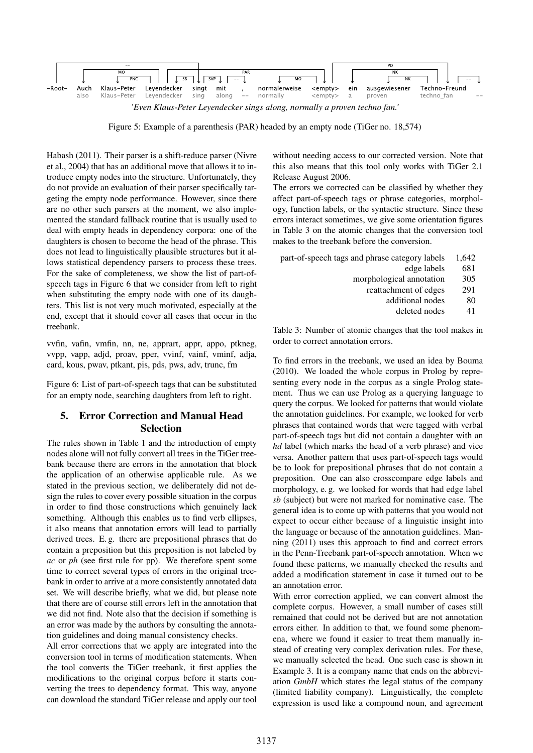

Figure 5: Example of a parenthesis (PAR) headed by an empty node (TiGer no. 18,574)

Habash (2011). Their parser is a shift-reduce parser (Nivre et al., 2004) that has an additional move that allows it to introduce empty nodes into the structure. Unfortunately, they do not provide an evaluation of their parser specifically targeting the empty node performance. However, since there are no other such parsers at the moment, we also implemented the standard fallback routine that is usually used to deal with empty heads in dependency corpora: one of the daughters is chosen to become the head of the phrase. This does not lead to linguistically plausible structures but it allows statistical dependency parsers to process these trees. For the sake of completeness, we show the list of part-ofspeech tags in Figure 6 that we consider from left to right when substituting the empty node with one of its daughters. This list is not very much motivated, especially at the end, except that it should cover all cases that occur in the treebank.

vvfin, vafin, vmfin, nn, ne, apprart, appr, appo, ptkneg, vvpp, vapp, adjd, proav, pper, vvinf, vainf, vminf, adja, card, kous, pwav, ptkant, pis, pds, pws, adv, trunc, fm

Figure 6: List of part-of-speech tags that can be substituted for an empty node, searching daughters from left to right.

### 5. Error Correction and Manual Head Selection

The rules shown in Table 1 and the introduction of empty nodes alone will not fully convert all trees in the TiGer treebank because there are errors in the annotation that block the application of an otherwise applicable rule. As we stated in the previous section, we deliberately did not design the rules to cover every possible situation in the corpus in order to find those constructions which genuinely lack something. Although this enables us to find verb ellipses, it also means that annotation errors will lead to partially derived trees. E. g. there are prepositional phrases that do contain a preposition but this preposition is not labeled by *ac* or *ph* (see first rule for pp). We therefore spent some time to correct several types of errors in the original treebank in order to arrive at a more consistently annotated data set. We will describe briefly, what we did, but please note that there are of course still errors left in the annotation that we did not find. Note also that the decision if something is an error was made by the authors by consulting the annotation guidelines and doing manual consistency checks.

All error corrections that we apply are integrated into the conversion tool in terms of modification statements. When the tool converts the TiGer treebank, it first applies the modifications to the original corpus before it starts converting the trees to dependency format. This way, anyone can download the standard TiGer release and apply our tool without needing access to our corrected version. Note that this also means that this tool only works with TiGer 2.1 Release August 2006.

The errors we corrected can be classified by whether they affect part-of-speech tags or phrase categories, morphology, function labels, or the syntactic structure. Since these errors interact sometimes, we give some orientation figures in Table 3 on the atomic changes that the conversion tool makes to the treebank before the conversion.

| part-of-speech tags and phrase category labels | 1.642 |
|------------------------------------------------|-------|
| edge labels                                    | 681   |
| morphological annotation                       | 305   |
| reattachment of edges                          | 291   |
| additional nodes                               | 80    |
|                                                |       |

deleted nodes 41

Table 3: Number of atomic changes that the tool makes in order to correct annotation errors.

To find errors in the treebank, we used an idea by Bouma (2010). We loaded the whole corpus in Prolog by representing every node in the corpus as a single Prolog statement. Thus we can use Prolog as a querying language to query the corpus. We looked for patterns that would violate the annotation guidelines. For example, we looked for verb phrases that contained words that were tagged with verbal part-of-speech tags but did not contain a daughter with an *hd* label (which marks the head of a verb phrase) and vice versa. Another pattern that uses part-of-speech tags would be to look for prepositional phrases that do not contain a preposition. One can also crosscompare edge labels and morphology, e. g. we looked for words that had edge label *sb* (subject) but were not marked for nominative case. The general idea is to come up with patterns that you would not expect to occur either because of a linguistic insight into the language or because of the annotation guidelines. Manning (2011) uses this approach to find and correct errors in the Penn-Treebank part-of-speech annotation. When we found these patterns, we manually checked the results and added a modification statement in case it turned out to be an annotation error.

With error correction applied, we can convert almost the complete corpus. However, a small number of cases still remained that could not be derived but are not annotation errors either. In addition to that, we found some phenomena, where we found it easier to treat them manually instead of creating very complex derivation rules. For these, we manually selected the head. One such case is shown in Example 3. It is a company name that ends on the abbreviation *GmbH* which states the legal status of the company (limited liability company). Linguistically, the complete expression is used like a compound noun, and agreement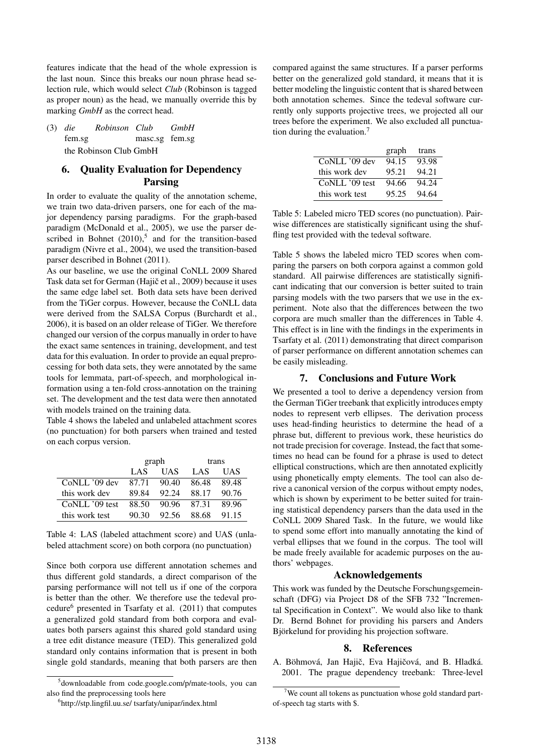features indicate that the head of the whole expression is the last noun. Since this breaks our noun phrase head selection rule, which would select *Club* (Robinson is tagged as proper noun) as the head, we manually override this by marking *GmbH* as the correct head.

(3) *die* fem.sg *Robinson Club* masc.sg fem.sg *GmbH* the Robinson Club GmbH

# 6. Quality Evaluation for Dependency Parsing

In order to evaluate the quality of the annotation scheme, we train two data-driven parsers, one for each of the major dependency parsing paradigms. For the graph-based paradigm (McDonald et al., 2005), we use the parser described in Bohnet  $(2010)$ <sup>5</sup> and for the transition-based paradigm (Nivre et al., 2004), we used the transition-based parser described in Bohnet (2011).

As our baseline, we use the original CoNLL 2009 Shared Task data set for German (Hajič et al., 2009) because it uses the same edge label set. Both data sets have been derived from the TiGer corpus. However, because the CoNLL data were derived from the SALSA Corpus (Burchardt et al., 2006), it is based on an older release of TiGer. We therefore changed our version of the corpus manually in order to have the exact same sentences in training, development, and test data for this evaluation. In order to provide an equal preprocessing for both data sets, they were annotated by the same tools for lemmata, part-of-speech, and morphological information using a ten-fold cross-annotation on the training set. The development and the test data were then annotated with models trained on the training data.

Table 4 shows the labeled and unlabeled attachment scores (no punctuation) for both parsers when trained and tested on each corpus version.

|                | graph |       | trans |       |
|----------------|-------|-------|-------|-------|
|                | LAS   | UAS   | LAS   | UAS   |
| CoNLL '09 dev  | 87.71 | 90.40 | 86.48 | 89.48 |
| this work dev  | 89.84 | 92.24 | 88.17 | 90.76 |
| CoNLL '09 test | 88.50 | 90.96 | 87.31 | 89.96 |
| this work test | 90.30 | 92.56 | 88.68 | 91.15 |

Table 4: LAS (labeled attachment score) and UAS (unlabeled attachment score) on both corpora (no punctuation)

Since both corpora use different annotation schemes and thus different gold standards, a direct comparison of the parsing performance will not tell us if one of the corpora is better than the other. We therefore use the tedeval procedure<sup>6</sup> presented in Tsarfaty et al. (2011) that computes a generalized gold standard from both corpora and evaluates both parsers against this shared gold standard using a tree edit distance measure (TED). This generalized gold standard only contains information that is present in both single gold standards, meaning that both parsers are then compared against the same structures. If a parser performs better on the generalized gold standard, it means that it is better modeling the linguistic content that is shared between both annotation schemes. Since the tedeval software currently only supports projective trees, we projected all our trees before the experiment. We also excluded all punctuation during the evaluation.<sup>7</sup>

|                | graph | trans |
|----------------|-------|-------|
| CoNLL '09 dev  | 94.15 | 93.98 |
| this work dev  | 95.21 | 94.21 |
| CoNLL '09 test | 94.66 | 94.24 |
| this work test | 95.25 | 94.64 |

Table 5: Labeled micro TED scores (no punctuation). Pairwise differences are statistically significant using the shuffling test provided with the tedeval software.

Table 5 shows the labeled micro TED scores when comparing the parsers on both corpora against a common gold standard. All pairwise differences are statistically significant indicating that our conversion is better suited to train parsing models with the two parsers that we use in the experiment. Note also that the differences between the two corpora are much smaller than the differences in Table 4. This effect is in line with the findings in the experiments in Tsarfaty et al. (2011) demonstrating that direct comparison of parser performance on different annotation schemes can be easily misleading.

### 7. Conclusions and Future Work

We presented a tool to derive a dependency version from the German TiGer treebank that explicitly introduces empty nodes to represent verb ellipses. The derivation process uses head-finding heuristics to determine the head of a phrase but, different to previous work, these heuristics do not trade precision for coverage. Instead, the fact that sometimes no head can be found for a phrase is used to detect elliptical constructions, which are then annotated explicitly using phonetically empty elements. The tool can also derive a canonical version of the corpus without empty nodes, which is shown by experiment to be better suited for training statistical dependency parsers than the data used in the CoNLL 2009 Shared Task. In the future, we would like to spend some effort into manually annotating the kind of verbal ellipses that we found in the corpus. The tool will be made freely available for academic purposes on the authors' webpages.

#### Acknowledgements

This work was funded by the Deutsche Forschungsgemeinschaft (DFG) via Project D8 of the SFB 732 "Incremental Specification in Context". We would also like to thank Dr. Bernd Bohnet for providing his parsers and Anders Björkelund for providing his projection software.

### 8. References

A. Böhmová, Jan Hajič, Eva Hajičová, and B. Hladká. 2001. The prague dependency treebank: Three-level

<sup>5</sup> downloadable from code.google.com/p/mate-tools, you can also find the preprocessing tools here

<sup>6</sup> http://stp.lingfil.uu.se/ tsarfaty/unipar/index.html

<sup>&</sup>lt;sup>7</sup>We count all tokens as punctuation whose gold standard partof-speech tag starts with \$.